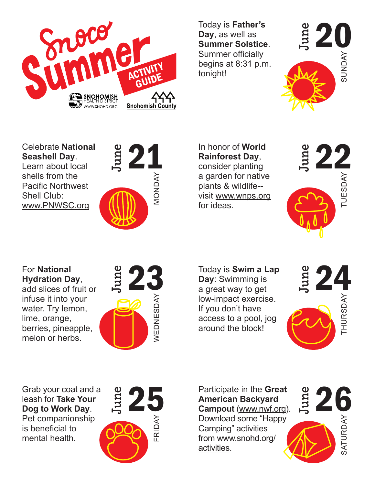

Today is **Father's Day**, as well as **Summer Solstice**. Summer officially begins at 8:31 p.m. tonight!



Celebrate **National Seashell Day**. Learn about local

shells from the Pacific Northwest Shell Club: www.PNWSC.org



21 In honor of World<br>Rainforest Day,<br>consider planting<br>a garden for pative In honor of **World Rainforest Day**, consider planting a garden for native plants & wildlife- visit www.wnps.org for ideas.



For **National Hydration Day**, add slices of fruit or infuse it into your water. Try lemon, lime, orange, berries, pineapple, melon or herbs.



 $\begin{array}{cc}\n\vdots & \circ \\
\downarrow & \circ \\
\downarrow & \circ\n\end{array}$ <br>  $\begin{array}{cc}\n\text{Today is } \text{Swim a Lap} \\
\text{Day: } \text{Swimming is} \\
\downarrow & \circ\n\end{array}$ Today is **Swim a Lap Day**: Swimming is a great way to get low-impact exercise. If you don't have access to a pool, jog around the block!



June

Grab your coat and a leash for **Take Your Dog to Work Day**. Pet companionship is beneficial to mental health.



Participate in the **Great American Backyard Campout** (www.nwf.org). Download some "Happy Camping" activities from www.snohd.org/ activities.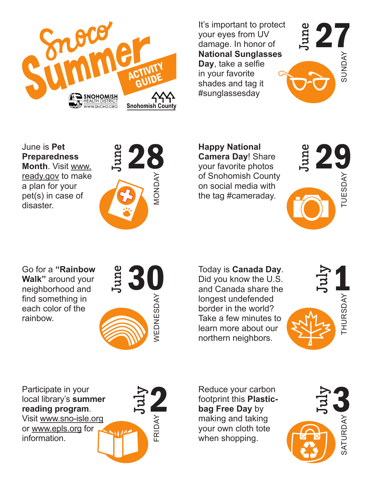

It's important to protect your eyes from UV damage. In honor of **National Sunglasses Day**, take a selfie in your favorite shades and tag it #sunglassesday



June is **Pet Preparedness Month**. Visit www. ready.gov to make a plan for your pet(s) in case of disaster.



 $28$  Happy National<br>Camera Day! Share<br>your favorite photos<br>of Spohomish County **Happy National Camera Day**! Share your favorite photos of Snohomish County on social media with the tag #cameraday.



Go for a **"Rainbow Walk"** around your neighborhood and find something in each color of the rainbow.



 $\begin{array}{cc}\n 30 & \text{Today is Canada Day.} \\
 \text{Did you know the U.S.} \\
 \text{and Canada share the\n}\n\end{array}\n\begin{array}{cc}\n 3\n \end{array}\n\begin{array}{cc}\n 3\n \end{array}\n\end{array}$ Mational Sunglassesses<br>
Dr. AM<br>
an Sound from the shades and tag it<br>
shades and tag it<br>
shades and tag it<br>
shades and tag it<br>
your favorite photos<br>
on social media with<br>
the tag #cameraday.<br>
Today is Canada Day.<br>
Today is Today is **Canada Day**. Did you know the U.S. and Canada share the longest undefended border in the world? Take a few minutes to learn more about our northern neighbors.



July Participate in your local library's **summer reading program**. Visit www.sno-isle.org or www.epls.org for information.

Reduce your carbon footprint this **Plasticbag Free Day** by making and taking your own cloth tote when shopping.

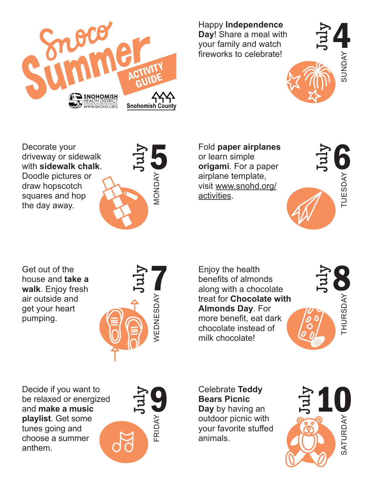

Happy **Independence Day**! Share a meal with your family and watch fireworks to celebrate!



Decorate your driveway or sidewalk with **sidewalk chalk**. Doodle pictures or draw hopscotch squares and hop the day away.



Fold paper airplanes<br>
or learn simple<br>
origami. For a paper<br>
airplane template Fold **paper airplanes** or learn simple **origami**. For a paper airplane template, visit www.snohd.org/ activities.



Get out of the house and **take a walk**. Enjoy fresh air outside and get your heart pumping.



Enjoy the health<br>
benefits of almonds<br>
along with a chocolate<br>  $\frac{1}{2}$ Freworks to celebrate!<br>
Subsequently<br>
In Sounday<br>
In Soundary<br>
So the learn simple<br>
original. For a paper<br>
simple airplane template,<br>
visit www.snond.org<br>
activities.<br>
Thus activities.<br>
Enjoy the health<br>
benefits of almond Enjoy the health benefits of almonds along with a chocolate treat for **Chocolate with Almonds Day**. For more benefit, eat dark chocolate instead of milk chocolate!



Decide if you want to be relaxed or energized and **make a music playlist**. Get some tunes going and choose a summer anthem.



Celebrate **Teddy Bears Picnic Day** by having an outdoor picnic with your favorite stuffed animals.

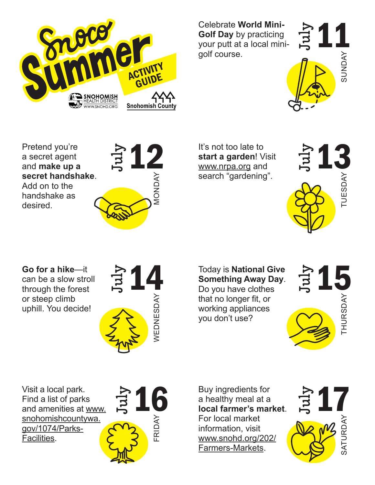

Celebrate **World Mini-Golf Day** by practicing your putt at a local minigolf course.



Pretend you're a secret agent and **make up a secret handshake**. Add on to the handshake as desired.



 $\begin{array}{cc}\n\bullet & \bullet \\
\bullet & \bullet\n\end{array}$ <br>  $\begin{array}{cc}\n\bullet & \bullet\n\end{array}$ <br>  $\begin{array}{cc}\n\bullet & \bullet\n\end{array}$ <br>  $\begin{array}{cc}\n\bullet & \bullet\n\end{array}$ <br>  $\begin{array}{cc}\n\bullet & \bullet\n\end{array}$ <br>  $\begin{array}{cc}\n\bullet & \bullet\n\end{array}$ <br>  $\begin{array}{cc}\n\bullet & \bullet\n\end{array}$ <br>  $\begin{array}{cc}\n\bullet & \bullet\n\end{array}$ <br>  $\begin{array}{cc}\n\bullet & \bullet\n\end{array}$ <br>  $\begin{array}{cc}\$ It's not too late to **start a garden**! Visit www.nrpa.org and search "gardening".



**Go for a hike**—it can be a slow stroll through the forest or steep climb uphill. You decide!



Today is National Give<br>
Something Away Day.<br>
Do you have clothes<br>
that no longer fit or Today is **National Give Something Away Day**. Do you have clothes that no longer fit, or working appliances

you don't use?



Visit a local park. Find a list of parks and amenities at www. snohomishcountywa. gov/1074/Parks-Facilities.



Buy ingredients for a healthy meal at a **local farmer's market**. For local market information, visit www.snohd.org/202/ Farmers-Markets.

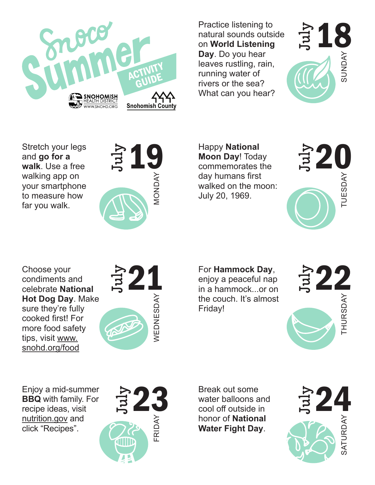

Practice listening to natural sounds outside on **World Listening Day**. Do you hear leaves rustling, rain, running water of rivers or the sea? What can you hear?



Stretch your legs and **go for a walk**. Use a free walking app on your smartphone to measure how far you walk.



 $\begin{array}{cc}\n\text{Happy National} \text{Mational} \text{Moon Day: Today} \text{Complex} \rightarrow \text{Cov humans first}\n\end{array}$ Happy **National Moon Day**! Today commemorates the day humans first walked on the moon: July 20, 1969.



Choose your condiments and celebrate **National Hot Dog Day**. Make sure they're fully cooked first! For more food safety tips, visit www. snohd.org/food



For **Hammock Day**,

enjoy a peaceful nap in a hammock...or on the couch. It's almost Friday!



Enjoy a mid-summer **BBQ** with family. For recipe ideas, visit nutrition.gov and click "Recipes".



Break out some water balloons and cool off outside in honor of **National Water Fight Day**.

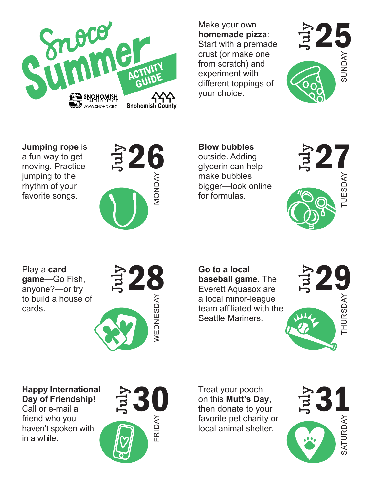

Make your own **homemade pizza**: Start with a premade crust (or make one from scratch) and experiment with different toppings of your choice.



**Jumping rope** is a fun way to get moving. Practice jumping to the rhythm of your favorite songs.



 $26$  blow bubbles<br>
outside. Adding<br>
glycerin can help<br>
make bubbles<br>
bigger—look online<br>
for formulas. **Blow bubbles** outside. Adding glycerin can help make bubbles bigger—look online for formulas.



Play a **card game**—Go Fish, anyone?—or try to build a house of cards.



 $28$  Go to a local<br>baseball game. The<br>Everett Aquasox are<br>a local minor location **Go to a local baseball game**. The Everett Aquasox are a local minor-league team affiliated with the Seattle Mariners.



**Happy International Day of Friendship!**

Call or e-mail a friend who you haven't spoken with in a while.



Treat your pooch on this **Mutt's Day**, then donate to your favorite pet charity or local animal shelter.

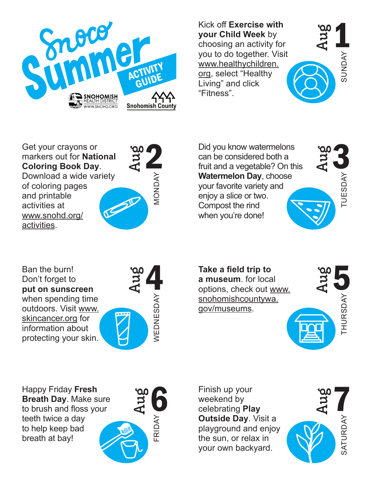

Kick off **Exercise with your Child Week** by choosing an activity for you to do together. Visit www.healthychildren. org, select "Healthy Living" and click "Fitness".



Get your crayons or markers out for **National Coloring Book Day**. Download a wide variety of coloring pages and printable activities at www.snohd.org/ activities.



Aug Did you know watermelons<br>
can be considered both a<br>
fruit and a vegetable? On this Fried the dot of the dot of the sum of the dot of the sum of the dot of the sum of the control of the sum of the sum of the sum of the sum of the sum of the sum of the sum of the sum of the sum of the sum of the sum of the Did you know watermelons can be considered both a fruit and a vegetable? On this **Watermelon Day**, choose your favorite variety and enjoy a slice or two. Compost the rind when you're done!

Ban the burn! Don't forget to **put on sunscreen** when spending time outdoors. Visit www. skincancer.org for information about protecting your skin.



Take a field trip to<br>
a museum for local<br>
options, check out www. **Take a field trip to a museum**. for local snohomishcountywa. gov/museums.



Happy Friday **Fresh Breath Day**. Make sure to brush and floss your teeth twice a day to help keep bad breath at bay!



Finish up your weekend by celebrating **Play Outside Day**. Visit a playground and enjoy the sun, or relax in your own backyard.

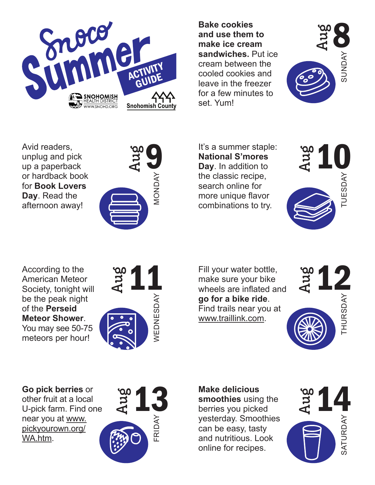

**Bake cookies and use them to make ice cream sandwiches.** Put ice cream between the cooled cookies and leave in the freezer for a few minutes to set. Yum!



Avid readers, unplug and pick up a paperback or hardback book for **Book Lovers Day**. Read the afternoon away!



It's a summer staple:<br>
National S'mores<br>
Day. In addition to<br>
the classic recine It's a summer staple: **National S'mores Day**. In addition to the classic recipe, search online for more unique flavor combinations to try.



According to the American Meteor Society, tonight will be the peak night of the **Perseid Meteor Shower**. You may see 50-75

meteors per hour!



Fill your water bottle,<br>
make sure your bike<br>
wheels are inflated and<br>  $\overline{z}$ Fill your water bottle, make sure your bike wheels are inflated and **go for a bike ride**. Find trails near you at www.traillink.com.



**Go pick berries** or other fruit at a local

U-pick farm. Find one near you at www. pickyourown.org/ WA.htm.



**Make delicious smoothies** using the berries you picked yesterday. Smoothies can be easy, tasty and nutritious. Look online for recipes.

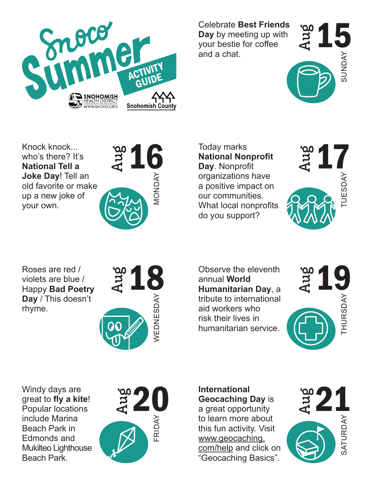

Celebrate **Best Friends Day** by meeting up with your bestie for coffee and a chat.



Knock knock... who's there? It's **National Tell a Joke Day**! Tell an old favorite or make up a new joke of your own.



National Nonprofit<br>
Day Nonprofit<br>
Corganizations have Today marks **National Nonprofit Day**. Nonprofit organizations have a positive impact on our communities. What local nonprofits do you support?



Roses are red / violets are blue / Happy **Bad Poetry Day** / This doesn't rhyme.



 $\begin{array}{ccc} 18 & \text{Observe the eleventh} \ \text{annual World} \ \text{Humanitarian Day, a} \ \star \end{array}$ Observe the eleventh annual **World Humanitarian Day**, a tribute to international aid workers who risk their lives in humanitarian service.



Windy days are great to **fly a kite**! Popular locations include Marina Beach Park in Edmonds and Mukilteo Lighthouse Beach Park.



**International Geocaching Day** is a great opportunity to learn more about this fun activity. Visit www.geocaching. com/help and click on "Geocaching Basics".

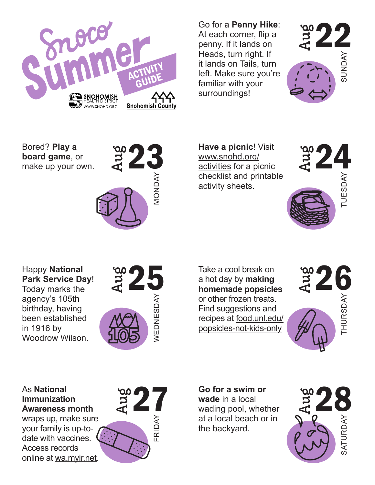

Go for a **Penny Hike**: At each corner, flip a penny. If it lands on Heads, turn right. If it lands on Tails, turn left. Make sure you're familiar with your surroundings!



Bored? **Play a board game**, or make up your own.



 $23$  Have a picnic! Visit<br>  $\frac{www.snohd.org/}{\frac{activities}{100}}$   $22$ **Have a picnic**! Visit www.snohd.org/ activities for a picnic checklist and printable activity sheets.



Happy **National Park Service Day**! Today marks the agency's 105th birthday, having been established in 1916 by Woodrow Wilson.



 $25$  Take a cool break on<br>a hot day by making<br>homemade popsicles<br>or other frazen tracts Example the add to the term of the back ward of the backyard.<br>
27 28 Monday Surroundings!<br>
27 28 Monday Surroundings!<br>
28 Monday Surroundings!<br>
28 Monday Surroundings!<br>
28 Monday Surroundings!<br>
28 Monday Monday Surrounding Take a cool break on a hot day by **making homemade popsicles** or other frozen treats. Find suggestions and recipes at food.unl.edu/ popsicles-not-kids-only



## As **National Immunization Awareness month**

wraps up, make sure your family is up-todate with vaccines. Access records online at wa.myir.net.



**Go for a swim or wade** in a local wading pool, whether at a local beach or in the backyard.